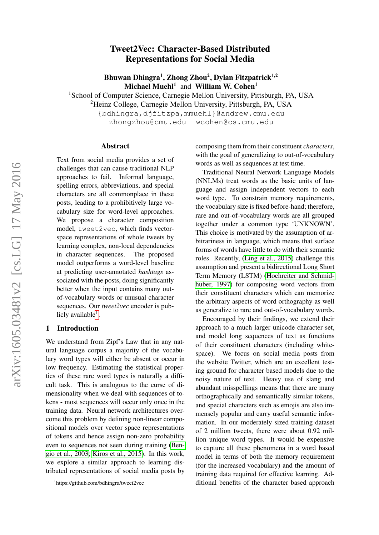# Tweet2Vec: Character-Based Distributed Representations for Social Media

Bhuwan Dhingra<sup>1</sup>, Zhong Zhou<sup>2</sup>, Dylan Fitzpatrick<sup>1,2</sup> Michael Muehl<sup>1</sup> and William W. Cohen<sup>1</sup>

<sup>1</sup>School of Computer Science, Carnegie Mellon University, Pittsburgh, PA, USA

<sup>2</sup>Heinz College, Carnegie Mellon University, Pittsburgh, PA, USA

{bdhingra,djfitzpa,mmuehl}@andrew.cmu.edu zhongzhou@cmu.edu wcohen@cs.cmu.edu

#### Abstract

Text from social media provides a set of challenges that can cause traditional NLP approaches to fail. Informal language, spelling errors, abbreviations, and special characters are all commonplace in these posts, leading to a prohibitively large vocabulary size for word-level approaches. We propose a character composition model, tweet2vec, which finds vectorspace representations of whole tweets by learning complex, non-local dependencies in character sequences. The proposed model outperforms a word-level baseline at predicting user-annotated *hashtags* associated with the posts, doing significantly better when the input contains many outof-vocabulary words or unusual character sequences. Our *tweet2vec* encoder is pub-licly available<sup>[1](#page-0-0)</sup>.

#### 1 Introduction

We understand from Zipf's Law that in any natural language corpus a majority of the vocabulary word types will either be absent or occur in low frequency. Estimating the statistical properties of these rare word types is naturally a difficult task. This is analogous to the curse of dimensionality when we deal with sequences of tokens - most sequences will occur only once in the training data. Neural network architectures overcome this problem by defining non-linear compositional models over vector space representations of tokens and hence assign non-zero probability even to sequences not seen during training [\(Ben](#page-4-0)[gio et al., 2003;](#page-4-0) [Kiros et al., 2015\)](#page-5-0). In this work, we explore a similar approach to learning distributed representations of social media posts by

composing them from their constituent *characters*, with the goal of generalizing to out-of-vocabulary words as well as sequences at test time.

Traditional Neural Network Language Models (NNLMs) treat words as the basic units of language and assign independent vectors to each word type. To constrain memory requirements, the vocabulary size is fixed before-hand; therefore, rare and out-of-vocabulary words are all grouped together under a common type 'UNKNOWN'. This choice is motivated by the assumption of arbitrariness in language, which means that surface forms of words have little to do with their semantic roles. Recently, [\(Ling et al., 2015\)](#page-5-1) challenge this assumption and present a bidirectional Long Short Term Memory (LSTM) [\(Hochreiter and Schmid](#page-5-2)[huber, 1997\)](#page-5-2) for composing word vectors from their constituent characters which can memorize the arbitrary aspects of word orthography as well as generalize to rare and out-of-vocabulary words.

Encouraged by their findings, we extend their approach to a much larger unicode character set, and model long sequences of text as functions of their constituent characters (including whitespace). We focus on social media posts from the website Twitter, which are an excellent testing ground for character based models due to the noisy nature of text. Heavy use of slang and abundant misspellings means that there are many orthographically and semantically similar tokens, and special characters such as emojis are also immensely popular and carry useful semantic information. In our moderately sized training dataset of 2 million tweets, there were about 0.92 million unique word types. It would be expensive to capture all these phenomena in a word based model in terms of both the memory requirement (for the increased vocabulary) and the amount of training data required for effective learning. Additional benefits of the character based approach

<span id="page-0-0"></span><sup>1</sup> https://github.com/bdhingra/tweet2vec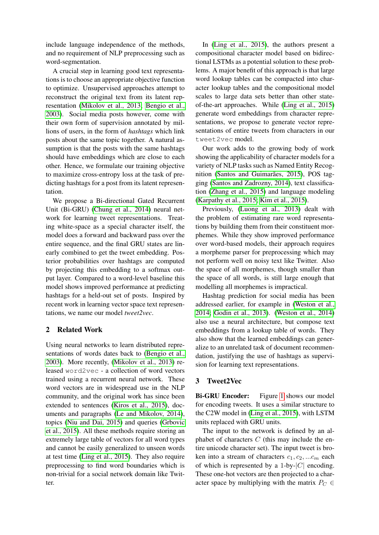include language independence of the methods, and no requirement of NLP preprocessing such as word-segmentation.

A crucial step in learning good text representations is to choose an appropriate objective function to optimize. Unsupervised approaches attempt to reconstruct the original text from its latent representation [\(Mikolov et al., 2013;](#page-5-3) [Bengio et al.,](#page-4-0) [2003\)](#page-4-0). Social media posts however, come with their own form of supervision annotated by millions of users, in the form of *hashtags* which link posts about the same topic together. A natural assumption is that the posts with the same hashtags should have embeddings which are close to each other. Hence, we formulate our training objective to maximize cross-entropy loss at the task of predicting hashtags for a post from its latent representation.

We propose a Bi-directional Gated Recurrent Unit (Bi-GRU) [\(Chung et al., 2014\)](#page-4-1) neural network for learning tweet representations. Treating white-space as a special character itself, the model does a forward and backward pass over the entire sequence, and the final GRU states are linearly combined to get the tweet embedding. Posterior probabilities over hashtags are computed by projecting this embedding to a softmax output layer. Compared to a word-level baseline this model shows improved performance at predicting hashtags for a held-out set of posts. Inspired by recent work in learning vector space text representations, we name our model *tweet2vec*.

## 2 Related Work

Using neural networks to learn distributed representations of words dates back to [\(Bengio et al.,](#page-4-0) [2003\)](#page-4-0). More recently, [\(Mikolov et al., 2013\)](#page-5-3) released word2vec - a collection of word vectors trained using a recurrent neural network. These word vectors are in widespread use in the NLP community, and the original work has since been extended to sentences [\(Kiros et al., 2015\)](#page-5-0), documents and paragraphs [\(Le and Mikolov, 2014\)](#page-5-4), topics [\(Niu and Dai, 2015\)](#page-5-5) and queries [\(Grbovic](#page-5-6) [et al., 2015\)](#page-5-6). All these methods require storing an extremely large table of vectors for all word types and cannot be easily generalized to unseen words at test time [\(Ling et al., 2015\)](#page-5-1). They also require preprocessing to find word boundaries which is non-trivial for a social network domain like Twitter.

In [\(Ling et al., 2015\)](#page-5-1), the authors present a compositional character model based on bidirectional LSTMs as a potential solution to these problems. A major benefit of this approach is that large word lookup tables can be compacted into character lookup tables and the compositional model scales to large data sets better than other stateof-the-art approaches. While [\(Ling et al., 2015\)](#page-5-1) generate word embeddings from character representations, we propose to generate vector representations of entire tweets from characters in our tweet2vec model.

Our work adds to the growing body of work showing the applicability of character models for a variety of NLP tasks such as Named Entity Recognition [\(Santos and Guimarães, 2015\)](#page-5-7), POS tagging [\(Santos and Zadrozny, 2014\)](#page-5-8), text classification [\(Zhang et al., 2015\)](#page-5-9) and language modeling [\(Karpathy et al., 2015;](#page-5-10) [Kim et al., 2015\)](#page-5-11).

Previously, [\(Luong et al., 2013\)](#page-5-12) dealt with the problem of estimating rare word representations by building them from their constituent morphemes. While they show improved performance over word-based models, their approach requires a morpheme parser for preprocessing which may not perform well on noisy text like Twitter. Also the space of all morphemes, though smaller than the space of all words, is still large enough that modelling all morphemes is impractical.

Hashtag prediction for social media has been addressed earlier, for example in [\(Weston et al.,](#page-5-13) [2014;](#page-5-13) [Godin et al., 2013\)](#page-4-2). [\(Weston et al., 2014\)](#page-5-13) also use a neural architecture, but compose text embeddings from a lookup table of words. They also show that the learned embeddings can generalize to an unrelated task of document recommendation, justifying the use of hashtags as supervision for learning text representations.

## 3 Tweet2Vec

Bi-GRU Encoder: Figure [1](#page-2-0) shows our model for encoding tweets. It uses a similar structure to the C2W model in [\(Ling et al., 2015\)](#page-5-1), with LSTM units replaced with GRU units.

The input to the network is defined by an alphabet of characters  $C$  (this may include the entire unicode character set). The input tweet is broken into a stream of characters  $c_1, c_2, ... c_m$  each of which is represented by a 1-by- $|C|$  encoding. These one-hot vectors are then projected to a character space by multiplying with the matrix  $P_C \in$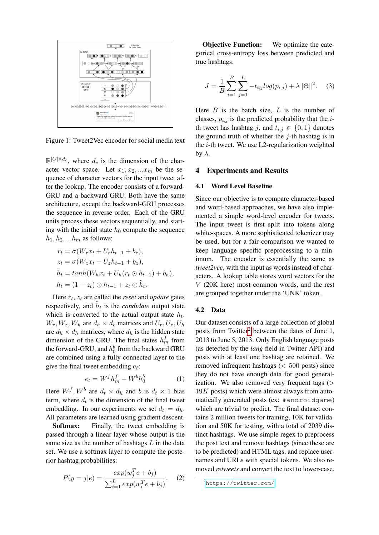<span id="page-2-0"></span>

Figure 1: Tweet2Vec encoder for social media text

 $\mathbb{R}^{|C| \times d_c}$ , where  $d_c$  is the dimension of the character vector space. Let  $x_1, x_2, ... x_m$  be the sequence of character vectors for the input tweet after the lookup. The encoder consists of a forward-GRU and a backward-GRU. Both have the same architecture, except the backward-GRU processes the sequence in reverse order. Each of the GRU units process these vectors sequentially, and starting with the initial state  $h_0$  compute the sequence  $h_1, h_2, \ldots h_m$  as follows:

$$
r_t = \sigma(W_r x_t + U_r h_{t-1} + b_r),
$$
  
\n
$$
z_t = \sigma(W_z x_t + U_z h_{t-1} + b_z),
$$
  
\n
$$
\tilde{h}_t = \tanh(W_h x_t + U_h (r_t \odot h_{t-1}) + b_h),
$$
  
\n
$$
h_t = (1 - z_t) \odot h_{t-1} + z_t \odot \tilde{h}_t.
$$

Here  $r_t$ ,  $z_t$  are called the *reset* and *update* gates respectively, and  $\tilde{h}_t$  is the *candidate* output state which is converted to the actual output state  $h_t$ .  $W_r, W_z, W_h$  are  $d_h \times d_c$  matrices and  $U_r, U_z, U_h$ are  $d_h \times d_h$  matrices, where  $d_h$  is the hidden state dimension of the GRU. The final states  $h_m^f$  from the forward-GRU, and  $h_0^b$  from the backward GRU are combined using a fully-connected layer to the give the final tweet embedding  $e_t$ :

$$
e_t = W^f h_m^f + W^b h_0^b \tag{1}
$$

Here  $W^f, W^b$  are  $d_t \times d_h$  and b is  $d_t \times 1$  bias term, where  $d_t$  is the dimension of the final tweet embedding. In our experiments we set  $d_t = d_h$ . All parameters are learned using gradient descent.

Softmax: Finally, the tweet embedding is passed through a linear layer whose output is the same size as the number of hashtags  $L$  in the data set. We use a softmax layer to compute the posterior hashtag probabilities:

$$
P(y = j | e) = \frac{exp(w_j^T e + b_j)}{\sum_{i=1}^{L} exp(w_i^T e + b_j)}.
$$
 (2)

**Objective Function:** We optimize the categorical cross-entropy loss between predicted and true hashtags:

$$
J = \frac{1}{B} \sum_{i=1}^{B} \sum_{j=1}^{L} -t_{i,j} log(p_{i,j}) + \lambda ||\Theta||^{2}.
$$
 (3)

Here  $B$  is the batch size,  $L$  is the number of classes,  $p_{i,j}$  is the predicted probability that the *i*th tweet has hashtag j, and  $t_{i,j} \in \{0,1\}$  denotes the ground truth of whether the  $j$ -th hashtag is in the  $i$ -th tweet. We use L2-regularization weighted by  $\lambda$ .

### 4 Experiments and Results

#### 4.1 Word Level Baseline

Since our objective is to compare character-based and word-based approaches, we have also implemented a simple word-level encoder for tweets. The input tweet is first split into tokens along white-spaces. A more sophisticated tokenizer may be used, but for a fair comparison we wanted to keep language specific preprocessing to a minimum. The encoder is essentially the same as *tweet2vec*, with the input as words instead of characters. A lookup table stores word vectors for the V (20K here) most common words, and the rest are grouped together under the 'UNK' token.

## 4.2 Data

Our dataset consists of a large collection of global posts from Twitter<sup>[2](#page-2-1)</sup> between the dates of June 1, 2013 to June 5, 2013. Only English language posts (as detected by the *lang* field in Twitter API) and posts with at least one hashtag are retained. We removed infrequent hashtags  $( $500$  posts) since$ they do not have enough data for good generalization. We also removed very frequent tags  $($  $19K$  posts) which were almost always from automatically generated posts (ex: #androidgame) which are trivial to predict. The final dataset contains 2 million tweets for training, 10K for validation and 50K for testing, with a total of 2039 distinct hashtags. We use simple regex to preprocess the post text and remove hashtags (since these are to be predicted) and HTML tags, and replace usernames and URLs with special tokens. We also removed *retweets* and convert the text to lower-case.

<span id="page-2-1"></span><sup>2</sup><https://twitter.com/>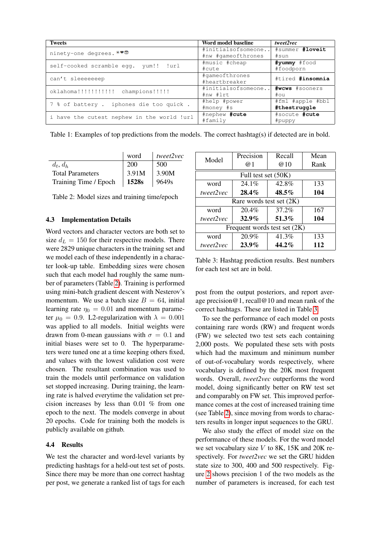<span id="page-3-2"></span>

| <b>Tweets</b>                              | Word model baseline | tweet2vec        |  |
|--------------------------------------------|---------------------|------------------|--|
| ninety-one degrees. *♥♥                    | #initialsofsomeone  | #summer #loveit  |  |
|                                            | #nw #gameofthrones  | #sun             |  |
| self-cooked scramble eqq. yum!! !url       | #music #cheap       | #yummy #food     |  |
|                                            | #cute               | #foodporn        |  |
| can't sleeeeeeep                           | #gameofthrones      | #tired #insomnia |  |
|                                            | #heartbreaker       |                  |  |
| oklahoma!!!!!!!!!!!! champions!!!!!        | #initialsofsomeone  | #wcws #sooners   |  |
|                                            | #nw #lrt            | #ou              |  |
| 7 % of battery. iphones die too quick.     | #help #power        | #fml #apple #bbl |  |
|                                            | #money #s           | #thestruggle     |  |
| i have the cutest nephew in the world !url | #nephew #cute       | #socute #cute    |  |
|                                            | #family             | $#$ puppy        |  |

Table 1: Examples of top predictions from the models. The correct hashtag(s) if detected are in bold.

<span id="page-3-0"></span>

|                         | word              | tweet2vec         |
|-------------------------|-------------------|-------------------|
| $d_t, d_h$              | 200               | 500               |
| <b>Total Parameters</b> | 3.91M             | 3.90M             |
| Training Time / Epoch   | 1528 <sub>s</sub> | 9649 <sub>s</sub> |

Table 2: Model sizes and training time/epoch

## 4.3 Implementation Details

Word vectors and character vectors are both set to size  $d_L = 150$  for their respective models. There were 2829 unique characters in the training set and we model each of these independently in a character look-up table. Embedding sizes were chosen such that each model had roughly the same number of parameters (Table [2\)](#page-3-0). Training is performed using mini-batch gradient descent with Nesterov's momentum. We use a batch size  $B = 64$ , initial learning rate  $\eta_0 = 0.01$  and momentum parameter  $\mu_0 = 0.9$ . L2-regularization with  $\lambda = 0.001$ was applied to all models. Initial weights were drawn from 0-mean gaussians with  $\sigma = 0.1$  and initial biases were set to 0. The hyperparameters were tuned one at a time keeping others fixed, and values with the lowest validation cost were chosen. The resultant combination was used to train the models until performance on validation set stopped increasing. During training, the learning rate is halved everytime the validation set precision increases by less than 0.01 % from one epoch to the next. The models converge in about 20 epochs. Code for training both the models is publicly available on github.

## 4.4 Results

We test the character and word-level variants by predicting hashtags for a held-out test set of posts. Since there may be more than one correct hashtag per post, we generate a ranked list of tags for each

<span id="page-3-1"></span>

| Model                          | Precision | Recall | Mean |  |  |
|--------------------------------|-----------|--------|------|--|--|
|                                | @1        | @10    | Rank |  |  |
| Full test set (50K)            |           |        |      |  |  |
| word                           | $24.1\%$  | 42.8%  | 133  |  |  |
| tweet2vec                      | 28.4%     | 48.5%  | 104  |  |  |
| Rare words test set $(2K)$     |           |        |      |  |  |
| word                           | 20.4%     | 37.2%  | 167  |  |  |
| tweet2vec                      | 32.9%     | 51.3%  | 104  |  |  |
| Frequent words test set $(2K)$ |           |        |      |  |  |
| word                           | 20.9%     | 41.3%  | 133  |  |  |
| tweet2vec                      | $23.9\%$  | 44.2%  | 112  |  |  |

Table 3: Hashtag prediction results. Best numbers for each test set are in bold.

post from the output posteriors, and report average precision@1, recall@10 and mean rank of the correct hashtags. These are listed in Table [3.](#page-3-1)

To see the performance of each model on posts containing rare words (RW) and frequent words (FW) we selected two test sets each containing 2,000 posts. We populated these sets with posts which had the maximum and minimum number of out-of-vocabulary words respectively, where vocabulary is defined by the 20K most frequent words. Overall, *tweet2vec* outperforms the word model, doing significantly better on RW test set and comparably on FW set. This improved performance comes at the cost of increased training time (see Table [2\)](#page-3-0), since moving from words to characters results in longer input sequences to the GRU.

We also study the effect of model size on the performance of these models. For the word model we set vocabulary size  $V$  to 8K, 15K and 20K respectively. For *tweet2vec* we set the GRU hidden state size to 300, 400 and 500 respectively. Figure [2](#page-4-3) shows precision 1 of the two models as the number of parameters is increased, for each test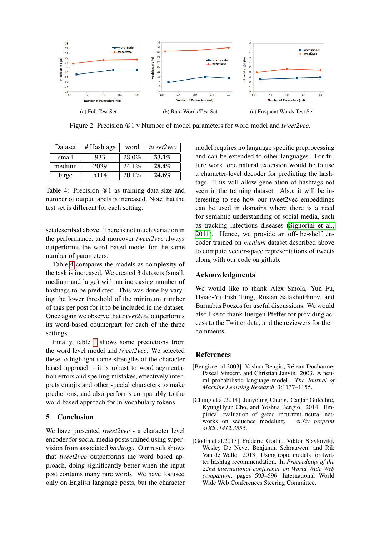<span id="page-4-3"></span>

Figure 2: Precision @1 v Number of model parameters for word model and *tweet2vec*.

<span id="page-4-4"></span>

| Dataset | # Hashtags | word     | tweet2vec |
|---------|------------|----------|-----------|
| small   | 933        | 28.0%    | $33.1\%$  |
| medium  | 2039       | $24.1\%$ | $28.4\%$  |
| large   | 5114       | $20.1\%$ | 24.6%     |

Table 4: Precision @1 as training data size and number of output labels is increased. Note that the test set is different for each setting.

set described above. There is not much variation in the performance, and moreover *tweet2vec* always outperforms the word based model for the same number of parameters.

Table [4](#page-4-4) compares the models as complexity of the task is increased. We created 3 datasets (small, medium and large) with an increasing number of hashtags to be predicted. This was done by varying the lower threshold of the minimum number of tags per post for it to be included in the dataset. Once again we observe that *tweet2vec* outperforms its word-based counterpart for each of the three settings.

Finally, table [1](#page-3-2) shows some predictions from the word level model and *tweet2vec*. We selected these to highlight some strengths of the character based approach - it is robust to word segmentation errors and spelling mistakes, effectively interprets emojis and other special characters to make predictions, and also performs comparably to the word-based approach for in-vocabulary tokens.

## 5 Conclusion

We have presented *tweet2vec* - a character level encoder for social media posts trained using supervision from associated *hashtags*. Our result shows that *tweet2vec* outperforms the word based approach, doing significantly better when the input post contains many rare words. We have focused only on English language posts, but the character

model requires no language specific preprocessing and can be extended to other languages. For future work, one natural extension would be to use a character-level decoder for predicting the hashtags. This will allow generation of hashtags not seen in the training dataset. Also, it will be interesting to see how our tweet2vec embeddings can be used in domains where there is a need for semantic understanding of social media, such as tracking infectious diseases [\(Signorini et al.,](#page-5-14) [2011\)](#page-5-14). Hence, we provide an off-the-shelf encoder trained on *medium* dataset described above to compute vector-space representations of tweets along with our code on github.

## Acknowledgments

We would like to thank Alex Smola, Yun Fu, Hsiao-Yu Fish Tung, Ruslan Salakhutdinov, and Barnabas Poczos for useful discussions. We would also like to thank Juergen Pfeffer for providing access to the Twitter data, and the reviewers for their comments.

## References

- <span id="page-4-0"></span>[Bengio et al.2003] Yoshua Bengio, Réjean Ducharme, Pascal Vincent, and Christian Janvin. 2003. A neural probabilistic language model. *The Journal of Machine Learning Research*, 3:1137–1155.
- <span id="page-4-1"></span>[Chung et al.2014] Junyoung Chung, Caglar Gulcehre, KyungHyun Cho, and Yoshua Bengio. 2014. Empirical evaluation of gated recurrent neural networks on sequence modeling. *arXiv preprint arXiv:1412.3555*.
- <span id="page-4-2"></span>[Godin et al.2013] Fréderic Godin, Viktor Slavkovikj, Wesley De Neve, Benjamin Schrauwen, and Rik Van de Walle. 2013. Using topic models for twitter hashtag recommendation. In *Proceedings of the 22nd international conference on World Wide Web companion*, pages 593–596. International World Wide Web Conferences Steering Committee.